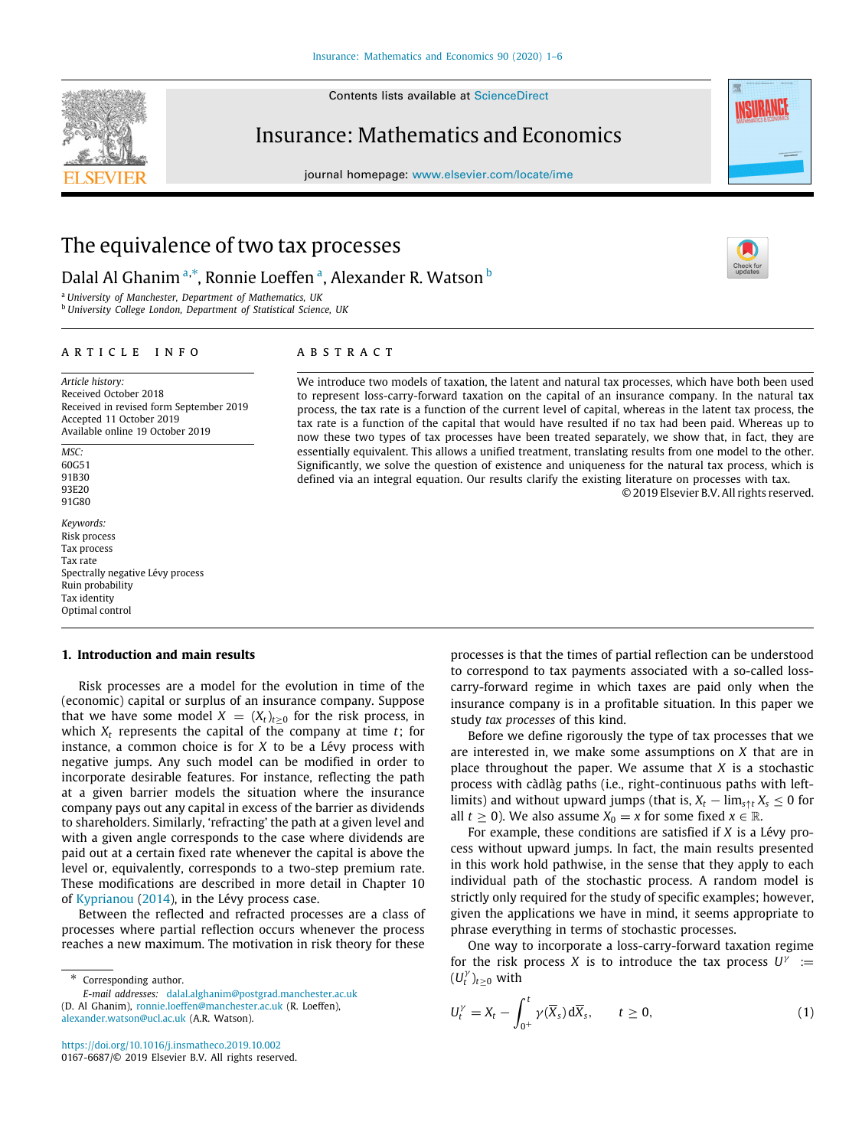Contents lists available at [ScienceDirect](http://www.elsevier.com/locate/ime)



## Insurance: Mathematics and Economics

journal homepage: [www.elsevier.com/locate/ime](http://www.elsevier.com/locate/ime)



# The equivalence of two tax processes

## D[a](#page-0-0)lal Al Ghanim ª,\*, Ronnie Loeffen ª, Alexander R. Watson <sup>[b](#page-0-2)</sup>

<span id="page-0-2"></span><span id="page-0-0"></span><sup>a</sup> *University of Manchester, Department of Mathematics, UK* <sup>b</sup> *University College London, Department of Statistical Science, UK*

#### ARTICLE INFO

*Article history:* Received October 2018 Received in revised form September 2019 Accepted 11 October 2019 Available online 19 October 2019

*MSC:* 60G51 91B30 93E20 91C80

*Keywords:* Risk process Tax process Tax rate Spectrally negative Lévy process Ruin probability Tax identity Optimal control

### **1. Introduction and main results**

Risk processes are a model for the evolution in time of the (economic) capital or surplus of an insurance company. Suppose that we have some model  $X = (X_t)_{t \geq 0}$  for the risk process, in which  $X_t$  represents the capital of the company at time  $t$ ; for instance, a common choice is for *X* to be a Lévy process with negative jumps. Any such model can be modified in order to incorporate desirable features. For instance, reflecting the path at a given barrier models the situation where the insurance company pays out any capital in excess of the barrier as dividends to shareholders. Similarly, 'refracting' the path at a given level and with a given angle corresponds to the case where dividends are paid out at a certain fixed rate whenever the capital is above the level or, equivalently, corresponds to a two-step premium rate. These modifications are described in more detail in Chapter 10 of [Kyprianou](#page-5-0) [\(2014\)](#page-5-0), in the Lévy process case.

Between the reflected and refracted processes are a class of processes where partial reflection occurs whenever the process reaches a new maximum. The motivation in risk theory for these

<span id="page-0-1"></span>Corresponding author. *E-mail addresses:* [dalal.alghanim@postgrad.manchester.ac.uk](mailto:dalal.alghanim@postgrad.manchester.ac.uk)

(D. Al Ghanim), [ronnie.loeffen@manchester.ac.uk](mailto:ronnie.loeffen@manchester.ac.uk) (R. Loeffen), [alexander.watson@ucl.ac.uk](mailto:alexander.watson@ucl.ac.uk) (A.R. Watson).

<https://doi.org/10.1016/j.insmatheco.2019.10.002> 0167-6687/© 2019 Elsevier B.V. All rights reserved.

### A B S T R A C T

We introduce two models of taxation, the latent and natural tax processes, which have both been used to represent loss-carry-forward taxation on the capital of an insurance company. In the natural tax process, the tax rate is a function of the current level of capital, whereas in the latent tax process, the tax rate is a function of the capital that would have resulted if no tax had been paid. Whereas up to now these two types of tax processes have been treated separately, we show that, in fact, they are essentially equivalent. This allows a unified treatment, translating results from one model to the other. Significantly, we solve the question of existence and uniqueness for the natural tax process, which is defined via an integral equation. Our results clarify the existing literature on processes with tax. © 2019 Elsevier B.V. All rights reserved.

> processes is that the times of partial reflection can be understood to correspond to tax payments associated with a so-called losscarry-forward regime in which taxes are paid only when the insurance company is in a profitable situation. In this paper we study *tax processes* of this kind.

> Before we define rigorously the type of tax processes that we are interested in, we make some assumptions on *X* that are in place throughout the paper. We assume that *X* is a stochastic process with càdlàg paths (i.e., right-continuous paths with leftlimits) and without upward jumps (that is,  $X_t - \lim_{s \uparrow t} X_s \leq 0$  for all  $t \geq 0$ ). We also assume  $X_0 = x$  for some fixed  $x \in \mathbb{R}$ .

> For example, these conditions are satisfied if *X* is a Lévy process without upward jumps. In fact, the main results presented in this work hold pathwise, in the sense that they apply to each individual path of the stochastic process. A random model is strictly only required for the study of specific examples; however, given the applications we have in mind, it seems appropriate to phrase everything in terms of stochastic processes.

> One way to incorporate a loss-carry-forward taxation regime for the risk process *X* is to introduce the tax process  $U^{\gamma}$  :=  $(U_t^{\gamma})_{t\geq 0}$  with

<span id="page-0-3"></span>
$$
U_t^{\gamma} = X_t - \int_{0^+}^t \gamma(\overline{X}_s) d\overline{X}_s, \qquad t \ge 0,
$$
 (1)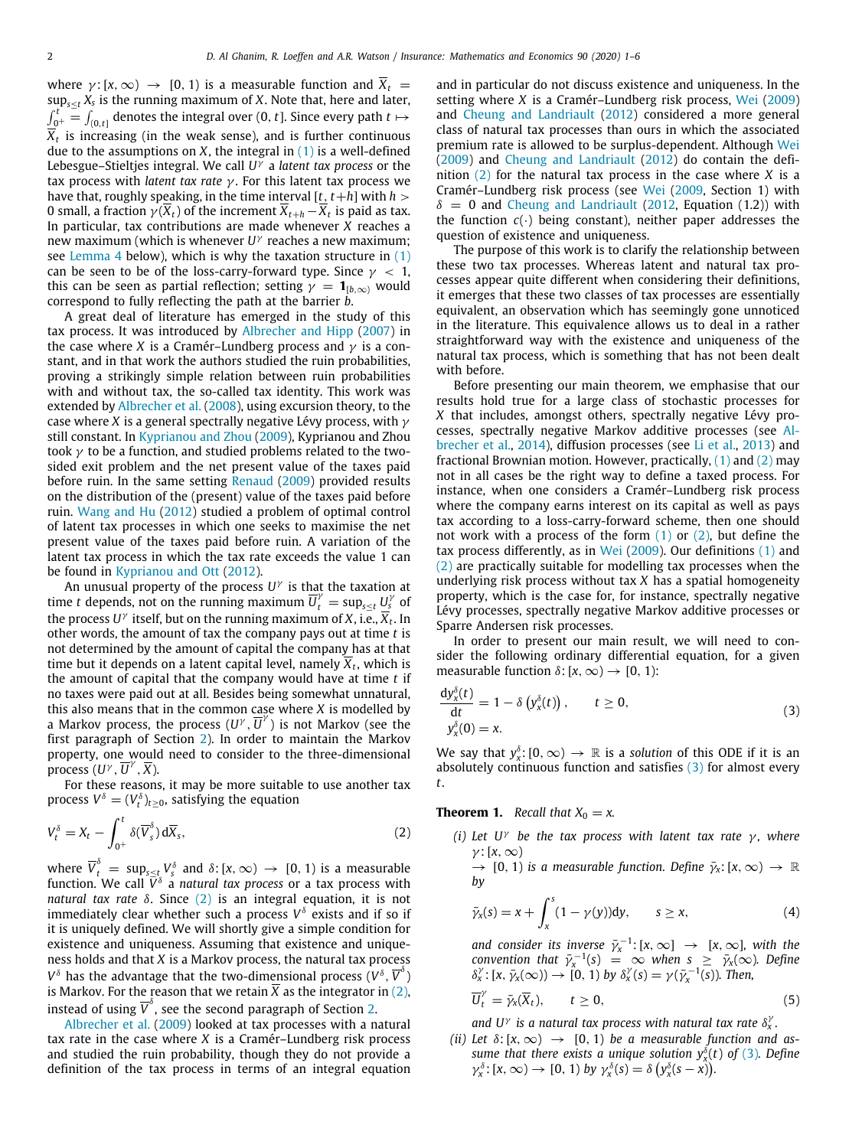where  $\gamma$ : [x,  $\infty$ )  $\rightarrow$  [0, 1) is a measurable function and  $\overline{X}_t$  = sup*s*≤*<sup>t</sup> X<sup>s</sup>* is the running maximum of *X*. Note that, here and later,  $\int_{0^+}^t \frac{1}{t} \, dt_{(0,t]}$  denotes the integral over (0, *t*]. Since every path  $t \mapsto t$ *Xt* is increasing (in the weak sense), and is further continuous due to the assumptions on  $X$ , the integral in  $(1)$  is a well-defined Lebesgue–Stieltjes integral. We call *U* γ a *latent tax process* or the tax process with *latent tax rate* γ . For this latent tax process we have that, roughly speaking, in the time interval  $[t, t+h]$  with  $h >$ 0 small, a fraction  $\gamma(\overline{X}_t)$  of the increment  $\overline{X}_{t+h}\!-\!\overline{X}_t$  is paid as tax. In particular, tax contributions are made whenever *X* reaches a new maximum (which is whenever *U* γ reaches a new maximum; see [Lemma](#page-4-0) [4](#page-4-0) below), which is why the taxation structure in ([1\)](#page-0-3) can be seen to be of the loss-carry-forward type. Since  $\gamma$  < 1, this can be seen as partial reflection; setting  $\gamma = \mathbf{1}_{[b,\infty)}$  would correspond to fully reflecting the path at the barrier *b*.

A great deal of literature has emerged in the study of this tax process. It was introduced by [Albrecher and Hipp](#page-5-1) ([2007\)](#page-5-1) in the case where *X* is a Cramér–Lundberg process and  $\gamma$  is a constant, and in that work the authors studied the ruin probabilities, proving a strikingly simple relation between ruin probabilities with and without tax, the so-called tax identity. This work was extended by [Albrecher et al.](#page-5-2) [\(2008](#page-5-2)), using excursion theory, to the case where *X* is a general spectrally negative Lévy process, with  $\gamma$ still constant. In [Kyprianou and Zhou](#page-5-3) [\(2009\)](#page-5-3), Kyprianou and Zhou took  $\nu$  to be a function, and studied problems related to the twosided exit problem and the net present value of the taxes paid before ruin. In the same setting [Renaud](#page-5-4) [\(2009](#page-5-4)) provided results on the distribution of the (present) value of the taxes paid before ruin. [Wang and Hu](#page-5-5) ([2012\)](#page-5-5) studied a problem of optimal control of latent tax processes in which one seeks to maximise the net present value of the taxes paid before ruin. A variation of the latent tax process in which the tax rate exceeds the value 1 can be found in [Kyprianou and Ott](#page-5-6) ([2012\)](#page-5-6).

An unusual property of the process *U* γ is that the taxation at time *t* depends, not on the running maximum  $\overline{U}_t^{\gamma} = \sup_{s \leq t} U_s^{\gamma}$  of the process  $U^{\gamma}$  itself, but on the running maximum of  $X$ , i.e.,  $\overline{X}_t.$  In other words, the amount of tax the company pays out at time *t* is not determined by the amount of capital the company has at that time but it depends on a latent capital level, namely *X<sup>t</sup>* , which is the amount of capital that the company would have at time *t* if no taxes were paid out at all. Besides being somewhat unnatural, this also means that in the common case where *X* is modelled by a Markov process, the process  $(U^{\gamma}, \overline{U}^{\gamma})$  is not Markov (see the first paragraph of Section [2](#page-3-0)). In order to maintain the Markov property, one would need to consider to the three-dimensional process  $(U^{\gamma}, \overline{U}^{\gamma}, \overline{X})$ .

For these reasons, it may be more suitable to use another tax process  $V^\delta = (V^\delta_t)_{t\geq 0}$ , satisfying the equation

$$
V_t^{\delta} = X_t - \int_{0^+}^t \delta(\overline{V}_s^{\delta}) d\overline{X}_s, \qquad (2)
$$

where  $\overline{V}_t^\delta \ = \ \sup_{s\leq t_\mathrm{s}} V_s^\delta$  and  $\delta\!:\! \mathrm{[}x,\infty)\ \to \ [0,1)$  is a measurable function. We call  $\bar{V}^{\delta}$  a *natural tax process* or a tax process with *natural tax rate* δ. Since [\(2](#page-1-0)) is an integral equation, it is not immediately clear whether such a process *V* δ exists and if so if it is uniquely defined. We will shortly give a simple condition for existence and uniqueness. Assuming that existence and uniqueness holds and that *X* is a Markov process, the natural tax process  $V^{\delta}$  has the advantage that the two-dimensional process  $(V^{\delta}, \overline{V}^{\delta})$ is Markov. For the reason that we retain  $\overline{X}$  as the integrator in ([2\)](#page-1-0), instead of using  $\overline{V}^{\delta}$ , see the second paragraph of Section [2](#page-3-0).

[Albrecher et al.](#page-5-7) ([2009\)](#page-5-7) looked at tax processes with a natural tax rate in the case where *X* is a Cramér–Lundberg risk process and studied the ruin probability, though they do not provide a definition of the tax process in terms of an integral equation and in particular do not discuss existence and uniqueness. In the setting where *X* is a Cramér–Lundberg risk process, [Wei](#page-5-8) [\(2009\)](#page-5-8) and [Cheung and Landriault](#page-5-9) ([2012\)](#page-5-9) considered a more general class of natural tax processes than ours in which the associated premium rate is allowed to be surplus-dependent. Although [Wei](#page-5-8) ([2009\)](#page-5-8) and [Cheung and Landriault](#page-5-9) [\(2012](#page-5-9)) do contain the definition [\(2](#page-1-0)) for the natural tax process in the case where *X* is a Cramér–Lundberg risk process (see [Wei](#page-5-8) ([2009,](#page-5-8) Section 1) with  $\delta = 0$  and [Cheung and Landriault](#page-5-9) ([2012,](#page-5-9) Equation (1.2)) with the function  $c(\cdot)$  being constant), neither paper addresses the question of existence and uniqueness.

The purpose of this work is to clarify the relationship between these two tax processes. Whereas latent and natural tax processes appear quite different when considering their definitions, it emerges that these two classes of tax processes are essentially equivalent, an observation which has seemingly gone unnoticed in the literature. This equivalence allows us to deal in a rather straightforward way with the existence and uniqueness of the natural tax process, which is something that has not been dealt with before.

Before presenting our main theorem, we emphasise that our results hold true for a large class of stochastic processes for *X* that includes, amongst others, spectrally negative Lévy processes, spectrally negative Markov additive processes (see [Al](#page-5-10)[brecher et al.](#page-5-10), [2014](#page-5-10)), diffusion processes (see [Li et al.](#page-5-11), [2013\)](#page-5-11) and fractional Brownian motion. However, practically,  $(1)$  $(1)$  and  $(2)$  $(2)$  may not in all cases be the right way to define a taxed process. For instance, when one considers a Cramér–Lundberg risk process where the company earns interest on its capital as well as pays tax according to a loss-carry-forward scheme, then one should not work with a process of the form  $(1)$  $(1)$  or  $(2)$  $(2)$  $(2)$ , but define the tax process differently, as in [Wei](#page-5-8) [\(2009](#page-5-8)). Our definitions ([1\)](#page-0-3) and ([2\)](#page-1-0) are practically suitable for modelling tax processes when the underlying risk process without tax *X* has a spatial homogeneity property, which is the case for, for instance, spectrally negative Lévy processes, spectrally negative Markov additive processes or Sparre Andersen risk processes.

In order to present our main result, we will need to consider the following ordinary differential equation, for a given measurable function  $\delta$ : [ $x, \infty$ ]  $\rightarrow$  [0, 1]:

<span id="page-1-1"></span>
$$
\frac{dy_x^{\delta}(t)}{dt} = 1 - \delta \left( y_x^{\delta}(t) \right), \qquad t \ge 0,
$$
\n
$$
y_x^{\delta}(0) = x.
$$
\n(3)

We say that  $y_x^{\delta}$ : [0,  $\infty$ )  $\rightarrow \mathbb{R}$  is a *solution* of this ODE if it is an absolutely continuous function and satisfies  $(3)$  $(3)$  for almost every *t*.

<span id="page-1-2"></span><span id="page-1-0"></span>**Theorem 1.** *Recall that*  $X_0 = x$ *.* 

- *(i)* Let  $U^{\gamma}$  be the tax process with latent tax rate  $\gamma$ , where  $γ: [x, ∞)$ 
	- $\rightarrow$  [0, 1) *is a measurable function. Define*  $\bar{\gamma}_x$ : [*x*,  $\infty$ )  $\rightarrow \mathbb{R}$ *by*

$$
\bar{\gamma}_x(s) = x + \int_x^s (1 - \gamma(y)) dy, \qquad s \ge x,
$$
 (4)

*and consider its inverse*  $\bar{\gamma}_x^{-1}$ :  $[x, \infty] \rightarrow [x, \infty]$ , with the *convention that*  $\bar{\gamma}_x^{-1}(s) = \infty$  *when*  $s \geq \bar{\gamma}_x(\infty)$ *. Define*  $\delta_x^{\gamma}: [\mathsf{x}, \bar{\gamma}_\mathsf{x}(\infty)) \to [0, 1)$  by  $\delta_x^{\gamma}(s) = \gamma(\bar{\gamma}_\mathsf{x}^{-1(s)})$ . Then,

<span id="page-1-4"></span>
$$
\overline{U}_t^{\gamma} = \overline{\gamma}_x(\overline{X}_t), \qquad t \ge 0,
$$
\n(5)

and U<sup>γ</sup> is a natural tax process with natural tax rate  $\delta_x^{\gamma}$ .

<span id="page-1-3"></span>(*ii*) Let  $\delta$ :  $[x, \infty) \rightarrow [0, 1]$  be a measurable function and as*sume that there exists a unique solution*  $y_x^{\delta}(t)$  *of [\(3](#page-1-1)). Define*  $\gamma_x^{\delta}$ : [x,  $\infty$ )  $\to$  [0, 1) by  $\gamma_x^{\delta}(s) = \delta (y_x^{\delta}(s - x))$ .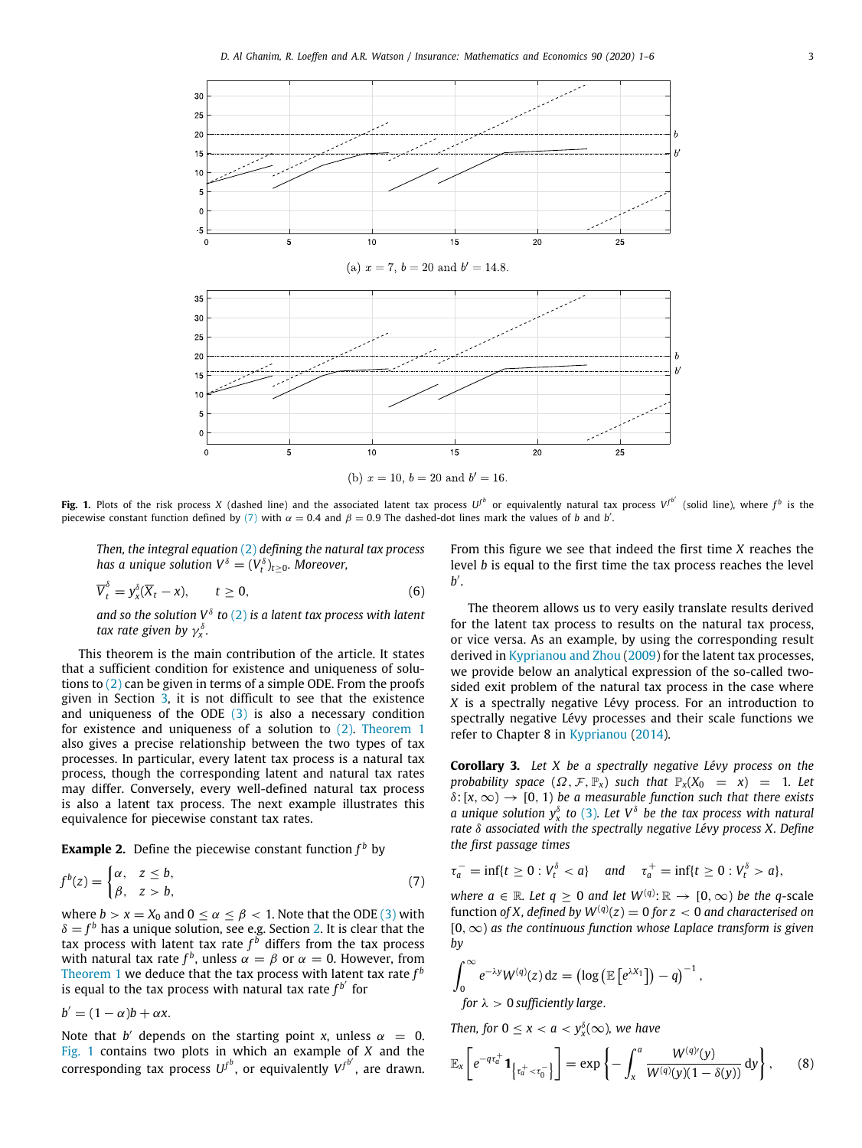

<span id="page-2-1"></span>**Fig. 1.** Plots of the risk process X (dashed line) and the associated latent tax process  $U^{f^b}$  or equivalently natural tax process  $V^{f^{b'}}$  (solid line), where  $f^b$  is the piecewise constant function defined by ([7](#page-2-0)) with  $\alpha = 0.4$  and  $\beta = 0.9$  The dashed-dot lines mark the values of *b* and *b'*.

*Then, the integral equation* ([2](#page-1-0)) *defining the natural tax process has a unique solution*  $V^\delta = (V_t^\delta)_{t\geq 0}$ *. Moreover,* 

$$
\overline{V}_t^{\delta} = y_x^{\delta}(\overline{X}_t - x), \qquad t \ge 0,
$$
\n(6)

and so the solution  $V^\delta$  to ([2\)](#page-1-0) is a latent tax process with latent *tax rate given by* γ δ *x .*

This theorem is the main contribution of the article. It states that a sufficient condition for existence and uniqueness of solutions to [\(2](#page-1-0)) can be given in terms of a simple ODE. From the proofs given in Section [3](#page-4-1), it is not difficult to see that the existence and uniqueness of the ODE  $(3)$  is also a necessary condition for existence and uniqueness of a solution to [\(2\)](#page-1-0). [Theorem](#page-1-2) [1](#page-1-2) also gives a precise relationship between the two types of tax processes. In particular, every latent tax process is a natural tax process, though the corresponding latent and natural tax rates may differ. Conversely, every well-defined natural tax process is also a latent tax process. The next example illustrates this equivalence for piecewise constant tax rates.

<span id="page-2-4"></span>**Example 2.** Define the piecewise constant function *f <sup>b</sup>* by

$$
f^{b}(z) = \begin{cases} \alpha, & z \leq b, \\ \beta, & z > b, \end{cases}
$$
 (7)

where  $b > x = X_0$  and  $0 \le \alpha \le \beta < 1$ . Note that the ODE ([3\)](#page-1-1) with  $\delta = f^b$  has a unique solution, see e.g. Section [2](#page-3-0). It is clear that the tax process with latent tax rate *f <sup>b</sup>* differs from the tax process with natural tax rate  $f^b$ , unless  $\alpha = \beta$  or  $\alpha = 0$ . However, from [Theorem](#page-1-2) [1](#page-1-2) we deduce that the tax process with latent tax rate  $f^b$ is equal to the tax process with natural tax rate  $f^{b'}$  for

 $b' = (1 - \alpha)b + \alpha x$ .

Note that *b'* depends on the starting point *x*, unless  $\alpha = 0$ . [Fig.](#page-2-1) [1](#page-2-1) contains two plots in which an example of *X* and the  $\int_{c}^{b}$   $\int_{c}^{b}$   $\int_{c}^{b}$   $\int_{c}^{b}$   $\int_{c}^{b}$   $\int_{c}^{b}$   $\int_{c}^{b}$   $\int_{c}^{b}$   $\int_{c}^{b}$   $\int_{c}^{b}$   $\int_{c}^{b}$  are drawn.

From this figure we see that indeed the first time *X* reaches the level *b* is equal to the first time the tax process reaches the level *b* ′ .

<span id="page-2-3"></span>The theorem allows us to very easily translate results derived for the latent tax process to results on the natural tax process, or vice versa. As an example, by using the corresponding result derived in [Kyprianou and Zhou](#page-5-3) [\(2009](#page-5-3)) for the latent tax processes, we provide below an analytical expression of the so-called twosided exit problem of the natural tax process in the case where *X* is a spectrally negative Lévy process. For an introduction to spectrally negative Lévy processes and their scale functions we refer to Chapter 8 in [Kyprianou](#page-5-0) [\(2014\)](#page-5-0).

<span id="page-2-2"></span>**Corollary 3.** *Let X be a spectrally negative Lévy process on the probability space*  $(\Omega, \mathcal{F}, \mathbb{P}_x)$  *such that*  $\mathbb{P}_x(X_0 = x) = 1$ *. Let*  $\delta$ : [ $x, \infty$ ]  $\rightarrow$  [0, 1] *be a measurable function such that there exists a* unique solution  $y_x^{\delta}$  to ([3\)](#page-1-1). Let  $V^{\delta}$  be the tax process with natural *rate* δ *associated with the spectrally negative Lévy process X. Define the first passage times*

$$
\tau_a^- = \inf\{t \ge 0 : V_t^\delta < a\} \quad \text{and} \quad \tau_a^+ = \inf\{t \ge 0 : V_t^\delta > a\},
$$

<span id="page-2-0"></span>*where*  $a \in \mathbb{R}$ *. Let*  $q \ge 0$  *and let*  $W^{(q)}$ :  $\mathbb{R} \to [0, \infty)$  *be the* q-scale function of *X*, defined by  $W^{(q)}(z) = 0$  for  $z < 0$  and characterised on [0,∞) *as the continuous function whose Laplace transform is given by*

$$
\int_0^\infty e^{-\lambda y} W^{(q)}(z) dz = \left( \log \left( \mathbb{E} \left[ e^{\lambda X_1} \right] \right) - q \right)^{-1},
$$
  
for  $\lambda > 0$  sufficiently large.

*Then, for*  $0 \le x < a < y_x^{\delta}(\infty)$ *, we have* 

<span id="page-2-5"></span>
$$
\mathbb{E}_x\left[e^{-q\tau_a^+}\mathbf{1}_{\left\{\tau_a^+<\tau_0^-\right\}}\right]=\exp\left\{-\int_x^a\frac{W^{(q)}(y)}{W^{(q)}(y)(1-\delta(y))}\,\mathrm{d}y\right\},\qquad(8)
$$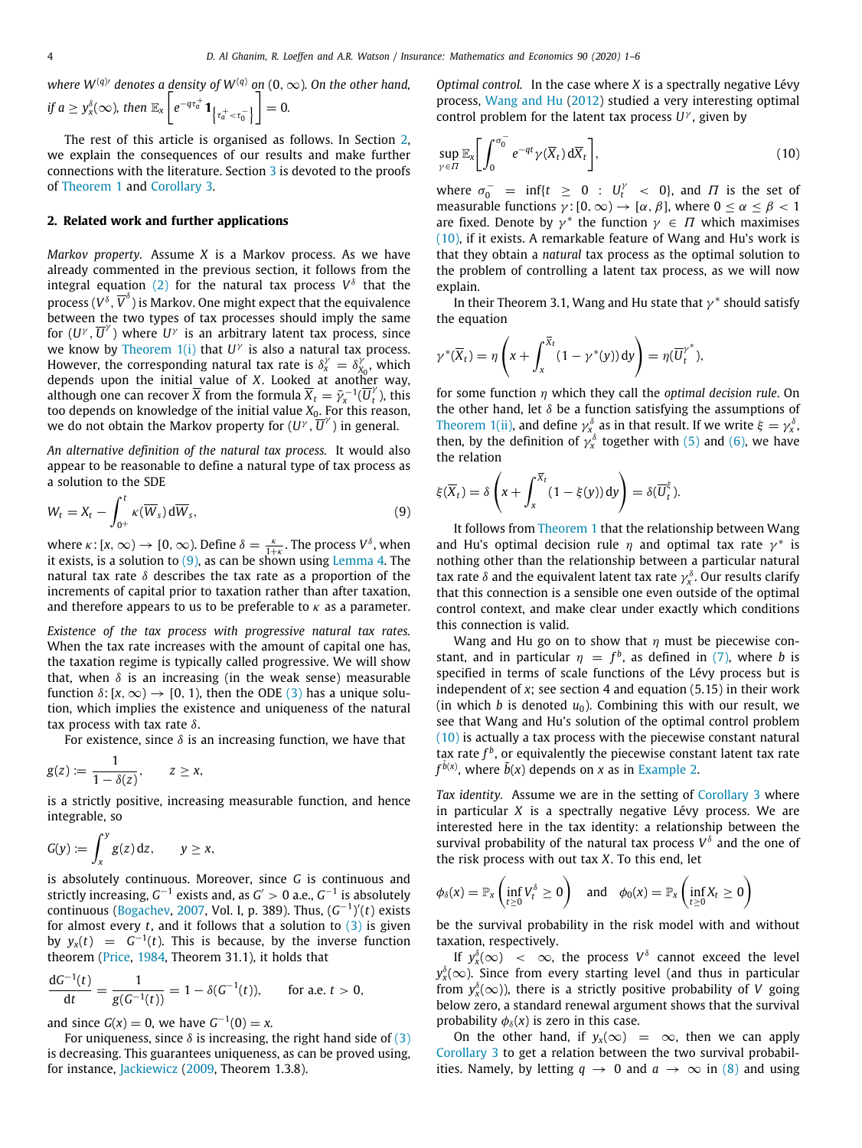$w$ here  $W^{(q)\prime}$  denotes a <u>d</u>ensity of  $W^{(q)}$  on (0,  $\infty$ ). On the other hand,

if 
$$
a \ge y_x^{\delta}(\infty)
$$
, then  $\mathbb{E}_x \left[ e^{-q\tau_a^+} \mathbf{1}_{\left\{ \tau_a^+ < \tau_0^- \right\}} \right] = 0$ .

The rest of this article is organised as follows. In Section [2,](#page-3-0) we explain the consequences of our results and make further connections with the literature. Section [3](#page-4-1) is devoted to the proofs of [Theorem](#page-1-2) [1](#page-1-2) and [Corollary](#page-2-2) [3.](#page-2-2)

#### **2. Related work and further applications**

<span id="page-3-0"></span>*Markov property.* Assume *X* is a Markov process. As we have already commented in the previous section, it follows from the integral equation ([2](#page-1-0)) for the natural tax process  $V^{\delta}$  that the process ( $V^{\delta},\overline{V}^{\delta})$  is Markov. One might expect that the equivalence between the two types of tax processes should imply the same for  $(U^{\gamma}, \overline{U}^{\gamma})$  where  $U^{\gamma}$  is an arbitrary latent tax process, since we know by [Theorem](#page-1-2) [1](#page-1-2)[\(i\)](#page-4-2) that  $U^{\gamma}$  is also a natural tax process. However, the corresponding natural tax rate is  $\delta_x^{\gamma} = \delta_x^{\gamma}$  $X_0'$ , which depends upon the initial value of *X*. Looked at another way, although one can recover  $\overline{X}$  from the formula  $\overline{X}_t = \overline{y}_x^{-1}(\overline{U}_t)$  $t$ <sub>t</sub>), this too depends on knowledge of the initial value *X*0. For this reason, we do not obtain the Markov property for  $(U^{\gamma}, \overline{U}^{\gamma})$  in general.

*An alternative definition of the natural tax process.* It would also appear to be reasonable to define a natural type of tax process as a solution to the SDE

$$
W_t = X_t - \int_{0^+}^t \kappa(\overline{W}_s) d\overline{W}_s, \qquad (9)
$$

where  $\kappa : [x, \infty) \to [0, \infty)$ . Define  $\delta = \frac{\kappa}{1+\kappa}$ . The process  $V^{\delta}$ , when it exists, is a solution to  $(9)$ , as can be shown using [Lemma](#page-4-0) [4](#page-4-0). The natural tax rate  $\delta$  describes the tax rate as a proportion of the increments of capital prior to taxation rather than after taxation, and therefore appears to us to be preferable to  $\kappa$  as a parameter.

*Existence of the tax process with progressive natural tax rates.* When the tax rate increases with the amount of capital one has, the taxation regime is typically called progressive. We will show that, when  $\delta$  is an increasing (in the weak sense) measurable function  $\delta$ : [ $x, \infty$ ]  $\rightarrow$  [0, 1], then the ODE ([3\)](#page-1-1) has a unique solution, which implies the existence and uniqueness of the natural tax process with tax rate  $\delta$ .

For existence, since  $\delta$  is an increasing function, we have that

$$
g(z):=\frac{1}{1-\delta(z)},\qquad z\geq x,
$$

is a strictly positive, increasing measurable function, and hence integrable, so

$$
G(y) := \int_x^y g(z) \, \mathrm{d} z, \qquad y \geq x,
$$

is absolutely continuous. Moreover, since *G* is continuous and strictly increasing, G<sup>−1</sup> exists and, as G' > 0 a.e., G<sup>−1</sup> is absolutely continuous [\(Bogachev,](#page-5-12) [2007,](#page-5-12) Vol. I, p. 389). Thus, (*G* −1 ) ′ (*t*) exists for almost every *t*, and it follows that a solution to [\(3](#page-1-1)) is given by  $y_x(t) = G^{-1}(t)$ . This is because, by the inverse function theorem [\(Price](#page-5-13), [1984,](#page-5-13) Theorem 31.1), it holds that

$$
\frac{dG^{-1}(t)}{dt} = \frac{1}{g(G^{-1}(t))} = 1 - \delta(G^{-1}(t)), \quad \text{for a.e. } t > 0,
$$

and since  $G(x) = 0$ , we have  $G^{-1}(0) = x$ .

For uniqueness, since  $\delta$  is increasing, the right hand side of ([3\)](#page-1-1) is decreasing. This guarantees uniqueness, as can be proved using, for instance, [Jackiewicz](#page-5-14) ([2009](#page-5-14), Theorem 1.3.8).

*Optimal control.* In the case where *X* is a spectrally negative Lévy process, [Wang and Hu](#page-5-5) [\(2012](#page-5-5)) studied a very interesting optimal control problem for the latent tax process *U* γ , given by

<span id="page-3-2"></span>
$$
\sup_{\gamma \in \Pi} \mathbb{E}_x \bigg[ \int_0^{\sigma_0^-} e^{-qt} \gamma(\overline{X}_t) d\overline{X}_t \bigg],\tag{10}
$$

where  $\sigma_0^-$  = inf{*t*  $\geq$  0 :  $U_t^{\gamma}$  < 0}, and  $\Pi$  is the set of measurable functions  $\gamma$ : [0,  $\infty$ )  $\rightarrow$  [ $\alpha$ ,  $\beta$ ], where  $0 < \alpha < \beta < 1$ are fixed. Denote by  $\gamma^*$  the function  $\gamma \in \Pi$  which maximises ([10](#page-3-2)), if it exists. A remarkable feature of Wang and Hu's work is that they obtain a *natural* tax process as the optimal solution to the problem of controlling a latent tax process, as we will now explain.

In their Theorem 3.1, Wang and Hu state that  $\gamma^*$  should satisfy the equation

$$
\gamma^*(\overline{X}_t) = \eta\left(x + \int_x^{\overline{X}_t} (1 - \gamma^*(y)) dy\right) = \eta(\overline{U}_t^{\gamma^*}),
$$

for some function η which they call the *optimal decision rule*. On the other hand, let  $\delta$  be a function satisfying the assumptions of [Theorem](#page-1-2) [1](#page-1-2)[\(ii\)](#page-1-3), and define  $\gamma_{x_\alpha}^{\delta}$  as in that result. If we write  $\xi = \gamma_x^{\delta}$ , then, by the definition of  $\gamma_x^{\delta}$  together with ([5\)](#page-1-4) and [\(6\)](#page-2-3), we have the relation

$$
\xi(\overline{X}_t) = \delta\left(x + \int_x^{\overline{X}_t} (1 - \xi(y)) dy\right) = \delta(\overline{U}_t^{\xi}).
$$

<span id="page-3-1"></span>It follows from [Theorem](#page-1-2) [1](#page-1-2) that the relationship between Wang and Hu's optimal decision rule  $\eta$  and optimal tax rate  $\gamma^*$  is nothing other than the relationship between a particular natural tax rate  $\delta$  and the equivalent latent tax rate  $\gamma_x^{\delta}$ . Our results clarify that this connection is a sensible one even outside of the optimal control context, and make clear under exactly which conditions this connection is valid.

Wang and Hu go on to show that  $\eta$  must be piecewise constant, and in particular  $\eta = f^b$ , as defined in ([7\)](#page-2-0), where *b* is specified in terms of scale functions of the Lévy process but is independent of  $x$ ; see section 4 and equation  $(5.15)$  in their work (in which  $b$  is denoted  $u_0$ ). Combining this with our result, we see that Wang and Hu's solution of the optimal control problem ([10](#page-3-2)) is actually a tax process with the piecewise constant natural tax rate  $f^b$ , or equivalently the piecewise constant latent tax rate  $f^{\tilde{b}(x)}$ , where  $\tilde{b}(x)$  depends on *x* as in [Example](#page-2-4) [2.](#page-2-4)

*Tax identity.* Assume we are in the setting of [Corollary](#page-2-2) [3](#page-2-2) where in particular *X* is a spectrally negative Lévy process. We are interested here in the tax identity: a relationship between the survival probability of the natural tax process  $V^{\delta}$  and the one of the risk process with out tax *X*. To this end, let

$$
\phi_{\delta}(x) = \mathbb{P}_x \left( \inf_{t \geq 0} V_t^{\delta} \geq 0 \right) \quad \text{and} \quad \phi_0(x) = \mathbb{P}_x \left( \inf_{t \geq 0} X_t \geq 0 \right)
$$

be the survival probability in the risk model with and without taxation, respectively.

If  $y_x^{\delta}(\infty)$  <  $\infty$ , the process  $V^{\delta}$  cannot exceed the level  $y_{x}^{\delta}(\infty)$ . Since from every starting level (and thus in particular from  $y_x^{\delta}(\infty)$ ), there is a strictly positive probability of *V* going below zero, a standard renewal argument shows that the survival probability  $\phi_{\delta}(x)$  is zero in this case.

On the other hand, if  $y_x(\infty) = \infty$ , then we can apply [Corollary](#page-2-2) [3](#page-2-2) to get a relation between the two survival probabilities. Namely, by letting  $q \to 0$  and  $q \to \infty$  in ([8](#page-2-5)) and using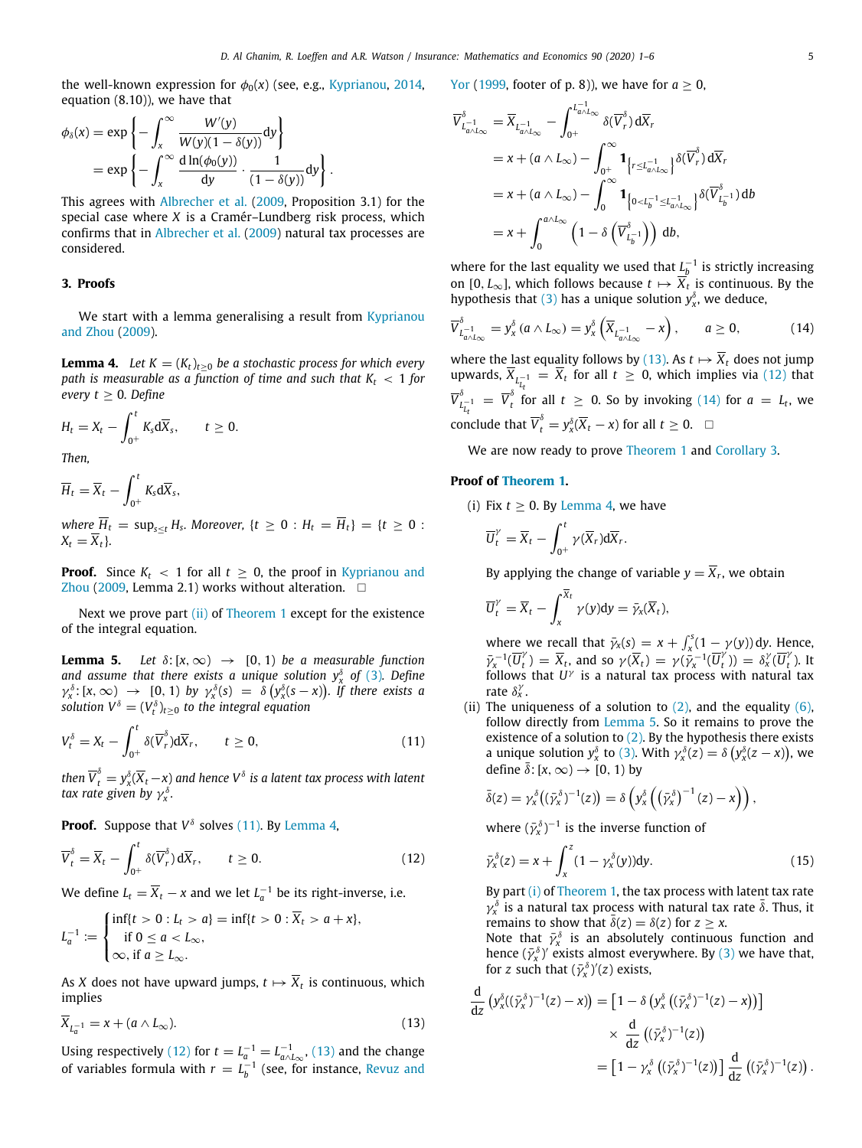the well-known expression for  $\phi_0(x)$  (see, e.g., [Kyprianou](#page-5-0), [2014,](#page-5-0) equation (8.10)), we have that

$$
\phi_{\delta}(x) = \exp\left\{-\int_x^{\infty} \frac{W'(y)}{W(y)(1-\delta(y))} dy\right\}
$$
  
=  $\exp\left\{-\int_x^{\infty} \frac{d \ln(\phi_0(y))}{dy} \cdot \frac{1}{(1-\delta(y))} dy\right\}.$ 

This agrees with [Albrecher et al.](#page-5-7) [\(2009](#page-5-7), Proposition 3.1) for the special case where *X* is a Cramér–Lundberg risk process, which confirms that in [Albrecher et al.](#page-5-7) [\(2009](#page-5-7)) natural tax processes are considered.

### **3. Proofs**

<span id="page-4-1"></span><span id="page-4-0"></span>We start with a lemma generalising a result from [Kyprianou](#page-5-3) [and Zhou](#page-5-3) ([2009\)](#page-5-3).

**Lemma 4.** *Let*  $K = (K_t)_{t>0}$  *be a stochastic process for which every path is measurable as a function of time and such that K<sup>t</sup>* < 1 *for every*  $t \geq 0$ *. Define* 

$$
H_t = X_t - \int_{0^+}^t K_s d\overline{X}_s, \qquad t \ge 0.
$$

*Then,*

 $\overline{H}_t = \overline{X}_t - \int^t$ 0+ *Ks*d*Xs*,

 $\overline{H}_t = \sup_{s \leq t} H_s$ . Moreover,  $\{t \geq 0 : H_t = \overline{H}_t\} = \{t \geq 0 : t \leq t \leq t\}$  $X_t = \overline{X}_t$ .

**Proof.** Since  $K_t$  < 1 for all  $t \geq 0$ , the proof in [Kyprianou and](#page-5-3) [Zhou](#page-5-3) ([2009,](#page-5-3) Lemma 2.1) works without alteration.  $\square$ 

Next we prove part [\(ii\)](#page-4-3) of [Theorem](#page-1-2) [1](#page-1-2) except for the existence of the integral equation.

<span id="page-4-8"></span>**Lemma 5.** *Let*  $\delta$ :  $[x, \infty) \rightarrow [0, 1]$  *be a measurable function* and assume that there exists a unique solution  $y_x^{\delta}$  of [\(3](#page-1-1)). Define  $\gamma_x^{\delta}$ : [x,  $\infty$ )  $\rightarrow$  [0, 1) by  $\gamma_x^{\delta}(s) = \delta(y_x^{\delta}(s-x))$ . If there exists a  $\mathcal{S}_{\mathcal{S}}$  *solution*  $V^{\delta} = (V^{\delta}_t)_{t \geq 0}$  *to the integral equation* 

$$
V_t^{\delta} = X_t - \int_{0^+}^t \delta(\overline{V}_r^{\delta}) d\overline{X}_r, \qquad t \ge 0,
$$
\n(11)

then  $\overline{V}^{\delta}_t = y^{\delta}_x(\overline{X}_t - x)$  and hence  $V^{\delta}$  is a latent tax process with latent *tax rate given by*  $\gamma_x^{\delta}$ .

**Proof.** Suppose that  $V^{\delta}$  solves [\(11\)](#page-4-4). By [Lemma](#page-4-0) [4,](#page-4-0)

$$
\overline{V}_t^{\delta} = \overline{X}_t - \int_{0^+}^t \delta(\overline{V}_r^{\delta}) d\overline{X}_r, \qquad t \ge 0.
$$
 (12)

We define  $L_t = \overline{X}_t - x$  and we let  $L_a^{-1}$  be its right-inverse, i.e.

$$
L_a^{-1} := \begin{cases} \inf\{t > 0 : L_t > a\} = \inf\{t > 0 : \overline{X}_t > a + x\}, \\ \text{if } 0 \le a < L_\infty, \\ \infty, \text{if } a \ge L_\infty. \end{cases}
$$

As *X* does not have upward jumps,  $t \mapsto \overline{X}_t$  is continuous, which implies

$$
\overline{X}_{L_a^{-1}} = x + (a \wedge L_{\infty}). \tag{13}
$$

Using respectively ([12\)](#page-4-5) for  $t = L_a^{-1} = L_{a \wedge L_{\infty}}^{-1}$ , ([13](#page-4-6)) and the change of variables formula with  $r = L_b^{-1}$  (see, for instance, [Revuz and](#page-5-15) [Yor](#page-5-15) ([1999,](#page-5-15) footer of p. 8)), we have for  $a > 0$ ,

$$
\overline{V}_{L_{a\wedge L_{\infty}}}^{\delta} = \overline{X}_{L_{a\wedge L_{\infty}}} - \int_{0^{+}}^{L_{a\wedge L_{\infty}}^{-1}} \delta(\overline{V}_{r}^{\delta}) d\overline{X}_{r}
$$
\n
$$
= x + (a \wedge L_{\infty}) - \int_{0^{+}}^{\infty} \mathbf{1}_{\left\{r \leq L_{a\wedge L_{\infty}}^{-1}\right\}} \delta(\overline{V}_{r}^{\delta}) d\overline{X}_{r}
$$
\n
$$
= x + (a \wedge L_{\infty}) - \int_{0}^{\infty} \mathbf{1}_{\left\{0 < L_{b}^{-1} \leq L_{a\wedge L_{\infty}}^{-1}\right\}} \delta(\overline{V}_{L_{b}^{-1}}^{\delta}) db
$$
\n
$$
= x + \int_{0}^{a \wedge L_{\infty}} \left(1 - \delta(\overline{V}_{L_{b}^{-1}}^{\delta})\right) db,
$$

where for the last equality we used that  $L_b^{-1}$  is strictly increasing on [0,  $L_{\infty}$ ], which follows because  $t \mapsto \overline{X}_t$  is continuous. By the hypothesis that [\(3\)](#page-1-1) has a unique solution  $y_x^{\delta}$ , we deduce,

<span id="page-4-7"></span>
$$
\overline{V}_{L_{a \wedge L_{\infty}}^{\delta}}^{\delta} = y_{x}^{\delta} (a \wedge L_{\infty}) = y_{x}^{\delta} \left( \overline{X}_{L_{a \wedge L_{\infty}}^{-1}} - x \right), \qquad a \ge 0, \tag{14}
$$

where the last equality follows by ([13](#page-4-6)). As  $t \mapsto \overline{X}_t$  does not jump upwards,  $\overline{X}_{L_{t-1}^{-1}} = \overline{X}_t$  for all  $t \geq 0$ , which implies via ([12](#page-4-5)) that *Lt*  $\overline{V}_I^{\delta}$  $L_{L_t}^{-1} = \overline{V}_t^{\delta}$  $\int_{t}^{\infty}$  for all  $t \geq 0$ . So by invoking [\(14\)](#page-4-7) for  $a = L_t$ , we conclude that  $\overline{V}_t^{\delta} = y_x^{\delta}(\overline{X}_t - x)$  for all  $t \geq 0$ .  $\Box$ 

We are now ready to prove [Theorem](#page-1-2) [1](#page-1-2) and [Corollary](#page-2-2) [3](#page-2-2).

#### **Proof of [Theorem](#page-1-2) [1.](#page-1-2)**

<span id="page-4-2"></span>(i) Fix  $t \geq 0$ . By [Lemma](#page-4-0) [4](#page-4-0), we have

$$
\overline{U}_t^{\gamma} = \overline{X}_t - \int_{0^+}^t \gamma(\overline{X}_r) d\overline{X}_r.
$$

By applying the change of variable  $y = \overline{X}_r$ , we obtain

$$
\overline{U}_t^{\gamma} = \overline{X}_t - \int_x^{\overline{X}_t} \gamma(y) dy = \overline{\gamma}_x(\overline{X}_t),
$$

where we recall that  $\bar{\gamma}_x(s) = x + \int_x^s (1 - \gamma(y)) dy$ . Hence,  $\bar{\gamma}_x^{-1}(\overline{U}_t^x)$  $\overline{Y}_t^{\gamma}$ ) =  $\overline{X}_t$ , and so  $\gamma(\overline{X}_t) = \gamma(\overline{Y}_x^{-1}(\overline{U}_t^{\gamma}))$  $\binom{v}{t}$ ) =  $\delta_x^{\gamma}(\overline{U}_t^{\gamma})$ *t* ). It follows that  $U^{\gamma}$  is a natural tax process with natural tax rate  $\delta_x^{\gamma}$ .

<span id="page-4-4"></span><span id="page-4-3"></span>(ii) The uniqueness of a solution to  $(2)$ , and the equality  $(6)$  $(6)$ , follow directly from [Lemma](#page-4-8) [5.](#page-4-8) So it remains to prove the existence of a solution to  $(2)$  $(2)$ . By the hypothesis there exists a unique solution  $y_x^{\delta}$  to [\(3\)](#page-1-1). With  $\gamma_x^{\delta}(z) = \delta (y_x^{\delta}(z - x))$ , we define  $\bar{\delta}$ : [*x*, ∞)  $\rightarrow$  [0, 1) by

$$
\bar{\delta}(z) = \gamma_x^{\delta}((\bar{\gamma}_x^{\delta})^{-1}(z)) = \delta\left(y_x^{\delta}\left((\bar{\gamma}_x^{\delta})^{-1}(z) - x\right)\right),
$$

where  $(\bar{\gamma}_x^{\delta})^{-1}$  is the inverse function of

<span id="page-4-9"></span><span id="page-4-5"></span>
$$
\bar{\gamma}_x^{\delta}(z) = x + \int_x^z (1 - \gamma_x^{\delta}(y)) dy.
$$
 (15)

By part [\(i\)](#page-4-2) of [Theorem](#page-1-2) [1](#page-1-2), the tax process with latent tax rate  $\gamma_x^{\delta}$  is a natural tax process with natural tax rate  $\bar{\delta}$ . Thus, it remains to show that  $\overline{\delta}(z) = \delta(z)$  for  $z \geq x$ .

Note that  $\bar{\gamma}_x^{\delta}$  is an absolutely continuous function and hence  $(\bar{\gamma}_x^{\delta})'$  exists almost everywhere. By ([3\)](#page-1-1) we have that, for *z* such that  $(\bar{\gamma}_x^{\delta})'(z)$  exists,

<span id="page-4-6"></span>
$$
\frac{\mathrm{d}}{\mathrm{d}z} \left( y_x^{\delta} ((\bar{y}_x^{\delta})^{-1}(z) - x) \right) = \left[ 1 - \delta \left( y_x^{\delta} \left( (\bar{y}_x^{\delta})^{-1}(z) - x \right) \right) \right] \times \frac{\mathrm{d}}{\mathrm{d}z} \left( (\bar{y}_x^{\delta})^{-1}(z) \right) \\
= \left[ 1 - y_x^{\delta} \left( (\bar{y}_x^{\delta})^{-1}(z) \right) \right] \frac{\mathrm{d}}{\mathrm{d}z} \left( (\bar{y}_x^{\delta})^{-1}(z) \right).
$$